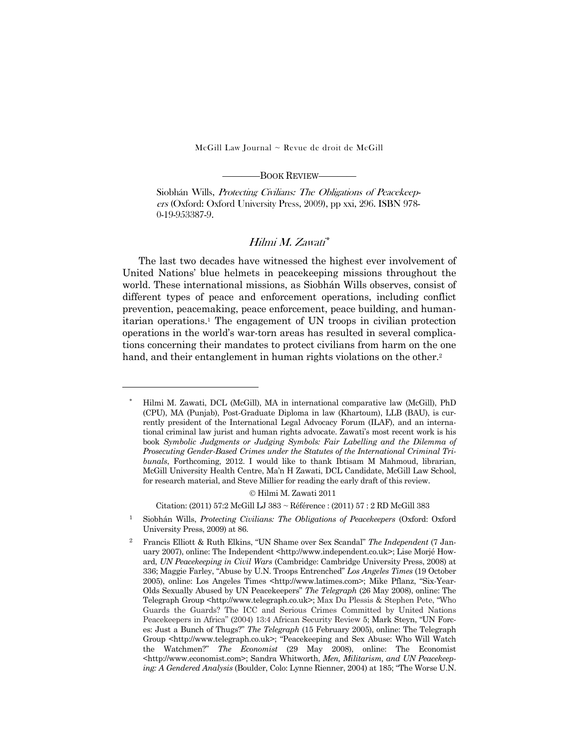$McGill Law Journal \sim$  Revue de droit de McGill

————BOOK REVIEW————

Siobhán Wills, Protecting Civilians: The Obligations of Peacekeepers (Oxford: Oxford University Press, 2009), pp xxi, 296. ISBN 978- 0-19-953387-9.

## Hilmi M. Zawati\*

 The last two decades have witnessed the highest ever involvement of United Nations' blue helmets in peacekeeping missions throughout the world. These international missions, as Siobhán Wills observes, consist of different types of peace and enforcement operations, including conflict prevention, peacemaking, peace enforcement, peace building, and humanitarian operations.1 The engagement of UN troops in civilian protection operations in the world's war-torn areas has resulted in several complications concerning their mandates to protect civilians from harm on the one hand, and their entanglement in human rights violations on the other.<sup>2</sup>

-

© Hilmi M. Zawati 2011

Citation: (2011) 57:2 McGill LJ 383 ~ Référence : (2011) 57 : 2 RD McGill 383

<sup>\*</sup> Hilmi M. Zawati, DCL (McGill), MA in international comparative law (McGill), PhD (CPU), MA (Punjab), Post-Graduate Diploma in law (Khartoum), LLB (BAU), is currently president of the International Legal Advocacy Forum (ILAF), and an international criminal law jurist and human rights advocate. Zawati's most recent work is his book *Symbolic Judgments or Judging Symbols: Fair Labelling and the Dilemma of Prosecuting Gender-Based Crimes under the Statutes of the International Criminal Tribunals*, Forthcoming, 2012. I would like to thank Ibtisam M Mahmoud, librarian, McGill University Health Centre, Ma'n H Zawati, DCL Candidate, McGill Law School, for research material, and Steve Millier for reading the early draft of this review.

<sup>1</sup> Siobhán Wills, *Protecting Civilians: The Obligations of Peacekeepers* (Oxford: Oxford University Press, 2009) at 86.

<sup>2</sup> Francis Elliott & Ruth Elkins, "UN Shame over Sex Scandal" *The Independent* (7 January 2007), online: The Independent <http://www.independent.co.uk>; Lise Morjé Howard, *UN Peacekeeping in Civil Wars* (Cambridge: Cambridge University Press, 2008) at 336; Maggie Farley, "Abuse by U.N. Troops Entrenched" *Los Angeles Times* (19 October 2005), online: Los Angeles Times <http://www.latimes.com>; Mike Pflanz, "Six-Year-Olds Sexually Abused by UN Peacekeepers" *The Telegraph* (26 May 2008), online: The Telegraph Group <http://www.telegraph.co.uk>; Max Du Plessis & Stephen Pete, "Who Guards the Guards? The ICC and Serious Crimes Committed by United Nations Peacekeepers in Africa" (2004) 13:4 African Security Review 5; Mark Steyn, "UN Forces: Just a Bunch of Thugs?" *The Telegraph* (15 February 2005), online: The Telegraph Group <http://www.telegraph.co.uk>; "Peacekeeping and Sex Abuse: Who Will Watch the Watchmen?" *The Economist* (29 May 2008), online: The Economist <http://www.economist.com>; Sandra Whitworth, *Men, Militarism, and UN Peacekeeping: A Gendered Analysis* (Boulder, Colo: Lynne Rienner, 2004) at 185; "The Worse U.N.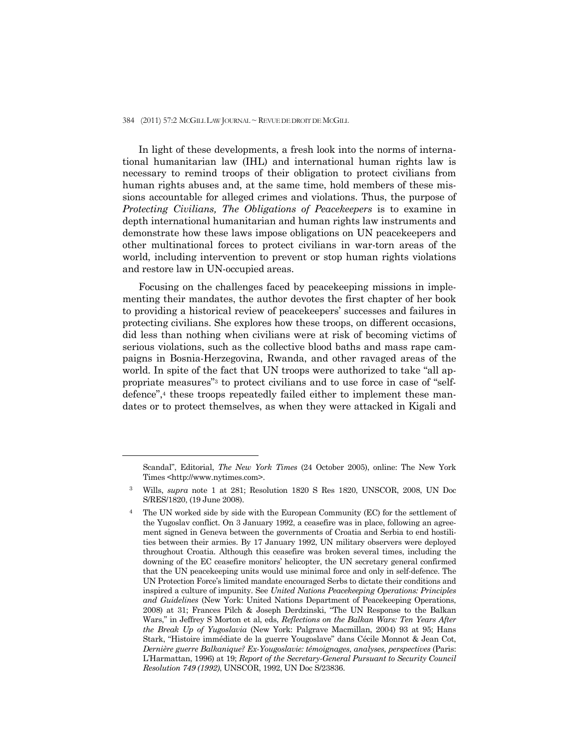## 384 (2011) 57:2 McGILL LAW JOURNAL ~ REVUE DE DROIT DE MCGILL

 In light of these developments, a fresh look into the norms of international humanitarian law (IHL) and international human rights law is necessary to remind troops of their obligation to protect civilians from human rights abuses and, at the same time, hold members of these missions accountable for alleged crimes and violations. Thus, the purpose of *Protecting Civilians, The Obligations of Peacekeepers* is to examine in depth international humanitarian and human rights law instruments and demonstrate how these laws impose obligations on UN peacekeepers and other multinational forces to protect civilians in war-torn areas of the world, including intervention to prevent or stop human rights violations and restore law in UN-occupied areas.

 Focusing on the challenges faced by peacekeeping missions in implementing their mandates, the author devotes the first chapter of her book to providing a historical review of peacekeepers' successes and failures in protecting civilians. She explores how these troops, on different occasions, did less than nothing when civilians were at risk of becoming victims of serious violations, such as the collective blood baths and mass rape campaigns in Bosnia-Herzegovina, Rwanda, and other ravaged areas of the world. In spite of the fact that UN troops were authorized to take "all appropriate measures"3 to protect civilians and to use force in case of "selfdefence",<sup>4</sup> these troops repeatedly failed either to implement these mandates or to protect themselves, as when they were attacked in Kigali and

 $\overline{a}$ 

Scandal", Editorial, *The New York Times* (24 October 2005), online: The New York Times <http://www.nytimes.com>.

<sup>3</sup> Wills, *supra* note 1 at 281; Resolution 1820 S Res 1820, UNSCOR, 2008, UN Doc S/RES/1820, (19 June 2008).

<sup>4</sup> The UN worked side by side with the European Community (EC) for the settlement of the Yugoslav conflict. On 3 January 1992, a ceasefire was in place, following an agreement signed in Geneva between the governments of Croatia and Serbia to end hostilities between their armies. By 17 January 1992, UN military observers were deployed throughout Croatia. Although this ceasefire was broken several times, including the downing of the EC ceasefire monitors' helicopter, the UN secretary general confirmed that the UN peacekeeping units would use minimal force and only in self-defence. The UN Protection Force's limited mandate encouraged Serbs to dictate their conditions and inspired a culture of impunity. See *United Nations Peacekeeping Operations: Principles and Guidelines* (New York: United Nations Department of Peacekeeping Operations, 2008) at 31; Frances Pilch & Joseph Derdzinski, "The UN Response to the Balkan Wars," in Jeffrey S Morton et al, eds, *Reflections on the Balkan Wars: Ten Years After the Break Up of Yugoslavia* (New York: Palgrave Macmillan, 2004) 93 at 95; Hans Stark, "Histoire immédiate de la guerre Yougoslave" dans Cécile Monnot & Jean Cot, *Dernière guerre Balkanique? Ex-Yougoslavie: témoignages, analyses, perspectives* (Paris: L'Harmattan, 1996) at 19; *Report of the Secretary-General Pursuant to Security Council Resolution 749 (1992)*, UNSCOR, 1992, UN Doc S/23836.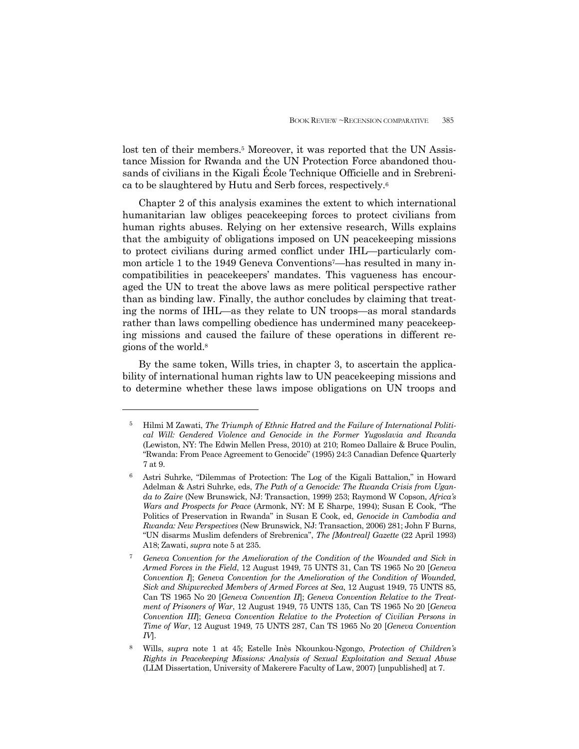lost ten of their members.<sup>5</sup> Moreover, it was reported that the UN Assistance Mission for Rwanda and the UN Protection Force abandoned thousands of civilians in the Kigali École Technique Officielle and in Srebrenica to be slaughtered by Hutu and Serb forces, respectively.6

 Chapter 2 of this analysis examines the extent to which international humanitarian law obliges peacekeeping forces to protect civilians from human rights abuses. Relying on her extensive research, Wills explains that the ambiguity of obligations imposed on UN peacekeeping missions to protect civilians during armed conflict under IHL—particularly common article 1 to the 1949 Geneva Conventions<sup>7</sup>—has resulted in many incompatibilities in peacekeepers' mandates. This vagueness has encouraged the UN to treat the above laws as mere political perspective rather than as binding law. Finally, the author concludes by claiming that treating the norms of IHL—as they relate to UN troops—as moral standards rather than laws compelling obedience has undermined many peacekeeping missions and caused the failure of these operations in different regions of the world.8

 By the same token, Wills tries, in chapter 3, to ascertain the applicability of international human rights law to UN peacekeeping missions and to determine whether these laws impose obligations on UN troops and

<sup>5</sup> Hilmi M Zawati, *The Triumph of Ethnic Hatred and the Failure of International Political Will: Gendered Violence and Genocide in the Former Yugoslavia and Rwanda* (Lewiston, NY: The Edwin Mellen Press, 2010) at 210; Romeo Dallaire & Bruce Poulin, "Rwanda: From Peace Agreement to Genocide" (1995) 24:3 Canadian Defence Quarterly 7 at 9.

<sup>6</sup> Astri Suhrke, "Dilemmas of Protection: The Log of the Kigali Battalion," in Howard Adelman & Astri Suhrke, eds, *The Path of a Genocide: The Rwanda Crisis from Uganda to Zaire* (New Brunswick, NJ: Transaction, 1999) 253; Raymond W Copson, *Africa's Wars and Prospects for Peace* (Armonk, NY: M E Sharpe, 1994); Susan E Cook, "The Politics of Preservation in Rwanda" in Susan E Cook, ed, *Genocide in Cambodia and Rwanda: New Perspectives* (New Brunswick, NJ: Transaction, 2006) 281; John F Burns, "UN disarms Muslim defenders of Srebrenica", *The [Montreal] Gazette* (22 April 1993) A18; Zawati, *supra* note 5 at 235.

<sup>7</sup> *Geneva Convention for the Amelioration of the Condition of the Wounded and Sick in Armed Forces in the Field*, 12 August 1949, 75 UNTS 31, Can TS 1965 No 20 [*Geneva Convention I*]; *Geneva Convention for the Amelioration of the Condition of Wounded, Sick and Shipwrecked Members of Armed Forces at Sea*, 12 August 1949, 75 UNTS 85, Can TS 1965 No 20 [*Geneva Convention II*]; *Geneva Convention Relative to the Treatment of Prisoners of War*, 12 August 1949, 75 UNTS 135, Can TS 1965 No 20 [*Geneva Convention III*]; *Geneva Convention Relative to the Protection of Civilian Persons in Time of War*, 12 August 1949, 75 UNTS 287, Can TS 1965 No 20 [*Geneva Convention IV*].

<sup>8</sup> Wills, *supra* note 1 at 45; Estelle Inès Nkounkou-Ngongo, *Protection of Children's Rights in Peacekeeping Missions: Analysis of Sexual Exploitation and Sexual Abuse* (LLM Dissertation, University of Makerere Faculty of Law, 2007) [unpublished] at 7.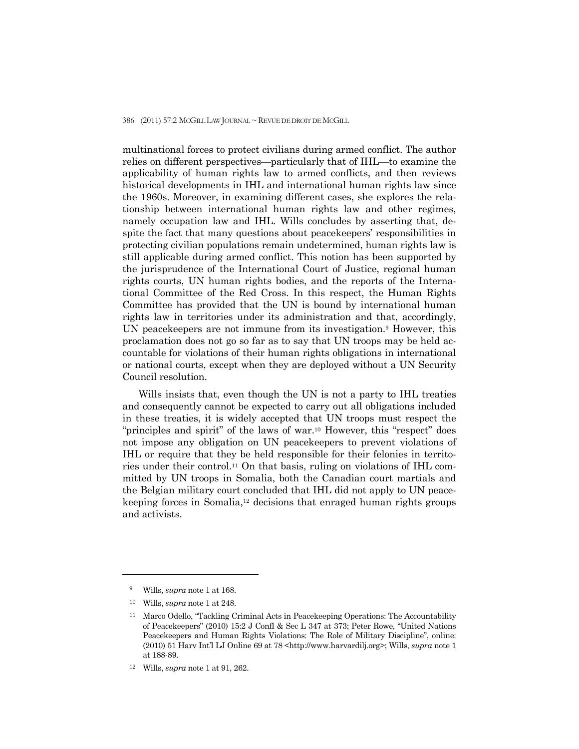386 (2011) 57:2 McGILL LAW JOURNAL ~ REVUE DE DROIT DE MCGILL

multinational forces to protect civilians during armed conflict. The author relies on different perspectives—particularly that of IHL—to examine the applicability of human rights law to armed conflicts, and then reviews historical developments in IHL and international human rights law since the 1960s. Moreover, in examining different cases, she explores the relationship between international human rights law and other regimes, namely occupation law and IHL. Wills concludes by asserting that, despite the fact that many questions about peacekeepers' responsibilities in protecting civilian populations remain undetermined, human rights law is still applicable during armed conflict. This notion has been supported by the jurisprudence of the International Court of Justice, regional human rights courts, UN human rights bodies, and the reports of the International Committee of the Red Cross. In this respect, the Human Rights Committee has provided that the UN is bound by international human rights law in territories under its administration and that, accordingly, UN peacekeepers are not immune from its investigation.9 However, this proclamation does not go so far as to say that UN troops may be held accountable for violations of their human rights obligations in international or national courts, except when they are deployed without a UN Security Council resolution.

 Wills insists that, even though the UN is not a party to IHL treaties and consequently cannot be expected to carry out all obligations included in these treaties, it is widely accepted that UN troops must respect the "principles and spirit" of the laws of war.10 However, this "respect" does not impose any obligation on UN peacekeepers to prevent violations of IHL or require that they be held responsible for their felonies in territories under their control.11 On that basis, ruling on violations of IHL committed by UN troops in Somalia, both the Canadian court martials and the Belgian military court concluded that IHL did not apply to UN peacekeeping forces in Somalia,12 decisions that enraged human rights groups and activists.

<sup>9</sup> Wills, *supra* note 1 at 168.

<sup>10</sup> Wills, *supra* note 1 at 248.

<sup>11</sup> Marco Odello, "Tackling Criminal Acts in Peacekeeping Operations: The Accountability of Peacekeepers" (2010) 15:2 J Confl & Sec L 347 at 373; Peter Rowe, "United Nations Peacekeepers and Human Rights Violations: The Role of Military Discipline", online: (2010) 51 Harv Int'l LJ Online 69 at 78 <http://www.harvardilj.org>; Wills, *supra* note 1 at 188-89.

<sup>12</sup> Wills, *supra* note 1 at 91, 262.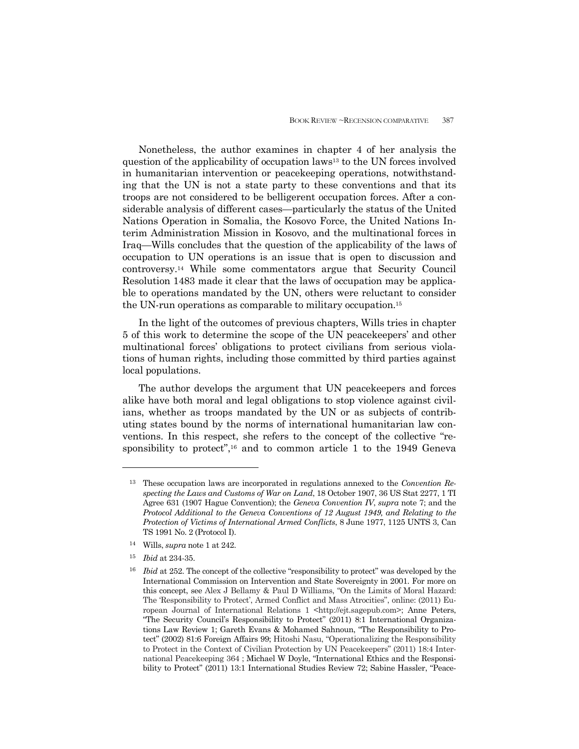Nonetheless, the author examines in chapter 4 of her analysis the question of the applicability of occupation laws13 to the UN forces involved in humanitarian intervention or peacekeeping operations, notwithstanding that the UN is not a state party to these conventions and that its troops are not considered to be belligerent occupation forces. After a considerable analysis of different cases—particularly the status of the United Nations Operation in Somalia, the Kosovo Force, the United Nations Interim Administration Mission in Kosovo, and the multinational forces in Iraq—Wills concludes that the question of the applicability of the laws of occupation to UN operations is an issue that is open to discussion and controversy.14 While some commentators argue that Security Council Resolution 1483 made it clear that the laws of occupation may be applicable to operations mandated by the UN, others were reluctant to consider the UN-run operations as comparable to military occupation.15

 In the light of the outcomes of previous chapters, Wills tries in chapter 5 of this work to determine the scope of the UN peacekeepers' and other multinational forces' obligations to protect civilians from serious violations of human rights, including those committed by third parties against local populations.

 The author develops the argument that UN peacekeepers and forces alike have both moral and legal obligations to stop violence against civilians, whether as troops mandated by the UN or as subjects of contributing states bound by the norms of international humanitarian law conventions. In this respect, she refers to the concept of the collective "responsibility to protect",<sup>16</sup> and to common article 1 to the 1949 Geneva

- 14 Wills, *supra* note 1 at 242.
- <sup>15</sup> *Ibid* at 234-35.

<sup>13</sup> These occupation laws are incorporated in regulations annexed to the *Convention Respecting the Laws and Customs of War on Land*, 18 October 1907, 36 US Stat 2277, 1 TI Agree 631 (1907 Hague Convention); the *Geneva Convention IV*, *supra* note 7; and the *Protocol Additional to the Geneva Conventions of 12 August 1949, and Relating to the Protection of Victims of International Armed Conflicts*, 8 June 1977, 1125 UNTS 3, Can TS 1991 No. 2 (Protocol I).

<sup>&</sup>lt;sup>16</sup> *Ibid* at 252. The concept of the collective "responsibility to protect" was developed by the International Commission on Intervention and State Sovereignty in 2001. For more on this concept, see Alex J Bellamy & Paul D Williams, "On the Limits of Moral Hazard: The 'Responsibility to Protect', Armed Conflict and Mass Atrocities", online: (2011) European Journal of International Relations 1 <http://ejt.sagepub.com>; Anne Peters, "The Security Council's Responsibility to Protect" (2011) 8:1 International Organizations Law Review 1; Gareth Evans & Mohamed Sahnoun, "The Responsibility to Protect" (2002) 81:6 Foreign Affairs 99; Hitoshi Nasu, "Operationalizing the Responsibility to Protect in the Context of Civilian Protection by UN Peacekeepers" (2011) 18:4 International Peacekeeping 364 ; Michael W Doyle, "International Ethics and the Responsibility to Protect" (2011) 13:1 International Studies Review 72; Sabine Hassler, "Peace-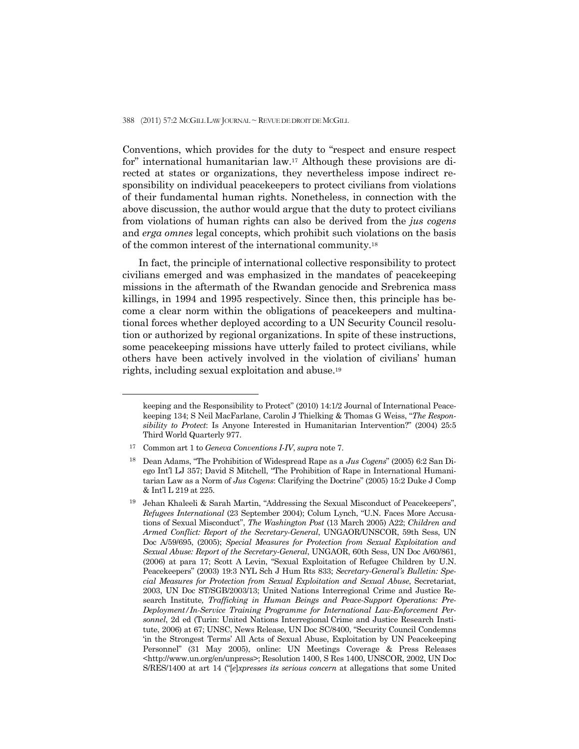Conventions, which provides for the duty to "respect and ensure respect for" international humanitarian law.17 Although these provisions are directed at states or organizations, they nevertheless impose indirect responsibility on individual peacekeepers to protect civilians from violations of their fundamental human rights. Nonetheless, in connection with the above discussion, the author would argue that the duty to protect civilians from violations of human rights can also be derived from the *jus cogens* and *erga omnes* legal concepts, which prohibit such violations on the basis of the common interest of the international community.18

 In fact, the principle of international collective responsibility to protect civilians emerged and was emphasized in the mandates of peacekeeping missions in the aftermath of the Rwandan genocide and Srebrenica mass killings, in 1994 and 1995 respectively. Since then, this principle has become a clear norm within the obligations of peacekeepers and multinational forces whether deployed according to a UN Security Council resolution or authorized by regional organizations. In spite of these instructions, some peacekeeping missions have utterly failed to protect civilians, while others have been actively involved in the violation of civilians' human rights, including sexual exploitation and abuse.19

 $\overline{a}$ 

keeping and the Responsibility to Protect" (2010) 14:1/2 Journal of International Peacekeeping 134; S Neil MacFarlane, Carolin J Thielking & Thomas G Weiss, "*The Responsibility to Protect*: Is Anyone Interested in Humanitarian Intervention?" (2004) 25:5 Third World Quarterly 977.

<sup>17</sup> Common art 1 to *Geneva Conventions I-IV*, *supra* note 7.

<sup>18</sup> Dean Adams, "The Prohibition of Widespread Rape as a *Jus Cogens*" (2005) 6:2 San Diego Int'l LJ 357; David S Mitchell, "The Prohibition of Rape in International Humanitarian Law as a Norm of *Jus Cogens*: Clarifying the Doctrine" (2005) 15:2 Duke J Comp & Int'l L 219 at 225.

<sup>19</sup> Jehan Khaleeli & Sarah Martin, "Addressing the Sexual Misconduct of Peacekeepers", *Refugees International* (23 September 2004); Colum Lynch, "U.N. Faces More Accusations of Sexual Misconduct", *The Washington Post* (13 March 2005) A22; *Children and Armed Conflict: Report of the Secretary-General*, UNGAOR/UNSCOR, 59th Sess, UN Doc A/59/695, (2005); *Special Measures for Protection from Sexual Exploitation and Sexual Abuse: Report of the Secretary-General*, UNGAOR, 60th Sess, UN Doc A/60/861, (2006) at para 17; Scott A Levin, "Sexual Exploitation of Refugee Children by U.N. Peacekeepers" (2003) 19:3 NYL Sch J Hum Rts 833; *Secretary-General's Bulletin: Special Measures for Protection from Sexual Exploitation and Sexual Abuse*, Secretariat, 2003, UN Doc ST/SGB/2003/13; United Nations Interregional Crime and Justice Research Institute*, Trafficking in Human Beings and Peace-Support Operations: Pre-Deployment/In-Service Training Programme for International Law-Enforcement Personnel*, 2d ed (Turin: United Nations Interregional Crime and Justice Research Institute, 2006) at 67; UNSC, News Release, UN Doc SC/8400, "Security Council Condemns 'in the Strongest Terms' All Acts of Sexual Abuse, Exploitation by UN Peacekeeping Personnel" (31 May 2005), online: UN Meetings Coverage & Press Releases <http://www.un.org/en/unpress>; Resolution 1400, S Res 1400, UNSCOR, 2002, UN Doc S/RES/1400 at art 14 ("[*e*]*xpresses its serious concern* at allegations that some United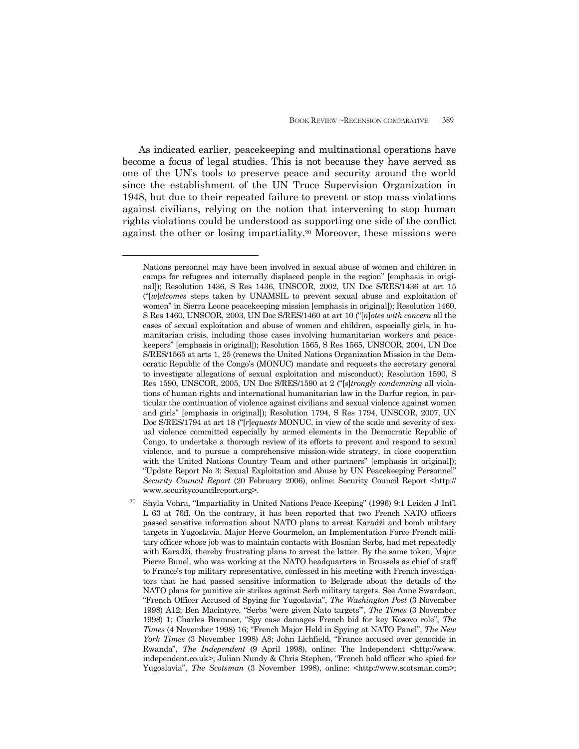As indicated earlier, peacekeeping and multinational operations have become a focus of legal studies. This is not because they have served as one of the UN's tools to preserve peace and security around the world since the establishment of the UN Truce Supervision Organization in 1948, but due to their repeated failure to prevent or stop mass violations against civilians, relying on the notion that intervening to stop human rights violations could be understood as supporting one side of the conflict against the other or losing impartiality.20 Moreover, these missions were

 $\overline{a}$ 

Nations personnel may have been involved in sexual abuse of women and children in camps for refugees and internally displaced people in the region" [emphasis in original]); Resolution 1436, S Res 1436, UNSCOR, 2002, UN Doc S/RES/1436 at art 15 ("[*w*]*elcomes* steps taken by UNAMSIL to prevent sexual abuse and exploitation of women" in Sierra Leone peacekeeping mission [emphasis in original]); Resolution 1460, S Res 1460, UNSCOR, 2003, UN Doc S/RES/1460 at art 10 ("[*n*]*otes with concern* all the cases of sexual exploitation and abuse of women and children, especially girls, in humanitarian crisis, including those cases involving humanitarian workers and peacekeepers" [emphasis in original]); Resolution 1565, S Res 1565, UNSCOR, 2004, UN Doc S/RES/1565 at arts 1, 25 (renews the United Nations Organization Mission in the Democratic Republic of the Congo's (MONUC) mandate and requests the secretary general to investigate allegations of sexual exploitation and misconduct); Resolution 1590, S Res 1590, UNSCOR, 2005, UN Doc S/RES/1590 at 2 ("[*s*]*trongly condemning* all violations of human rights and international humanitarian law in the Darfur region, in particular the continuation of violence against civilians and sexual violence against women and girls" [emphasis in original]); Resolution 1794, S Res 1794, UNSCOR, 2007, UN Doc S/RES/1794 at art 18 ("[*r*]*equests* MONUC, in view of the scale and severity of sexual violence committed especially by armed elements in the Democratic Republic of Congo, to undertake a thorough review of its efforts to prevent and respond to sexual violence, and to pursue a comprehensive mission-wide strategy, in close cooperation with the United Nations Country Team and other partners" [emphasis in original]); "Update Report No 3: Sexual Exploitation and Abuse by UN Peacekeeping Personnel" *Security Council Report* (20 February 2006), online: Security Council Report <http:// www.securitycouncilreport.org>.

<sup>20</sup> Shyla Vohra, "Impartiality in United Nations Peace-Keeping" (1996) 9:1 Leiden J Int'l L 63 at 76ff. On the contrary, it has been reported that two French NATO officers passed sensitive information about NATO plans to arrest Karadži and bomb military targets in Yugoslavia. Major Herve Gourmelon, an Implementation Force French military officer whose job was to maintain contacts with Bosnian Serbs, had met repeatedly with Karadži, thereby frustrating plans to arrest the latter. By the same token, Major Pierre Bunel, who was working at the NATO headquarters in Brussels as chief of staff to France's top military representative, confessed in his meeting with French investigators that he had passed sensitive information to Belgrade about the details of the NATO plans for punitive air strikes against Serb military targets. See Anne Swardson, "French Officer Accused of Spying for Yugoslavia", *The Washington Post* (3 November 1998) A12; Ben Macintyre, "Serbs 'were given Nato targets'", *The Times* (3 November 1998) 1; Charles Bremner, "Spy case damages French bid for key Kosovo role", *The Times* (4 November 1998) 16; "French Major Held in Spying at NATO Panel", *The New York Times* (3 November 1998) A8; John Lichfield, "France accused over genocide in Rwanda", *The Independent* (9 April 1998), online: The Independent <http://www. independent.co.uk>; Julian Nundy & Chris Stephen, "French hold officer who spied for Yugoslavia", *The Scotsman* (3 November 1998), online: <http://www.scotsman.com>;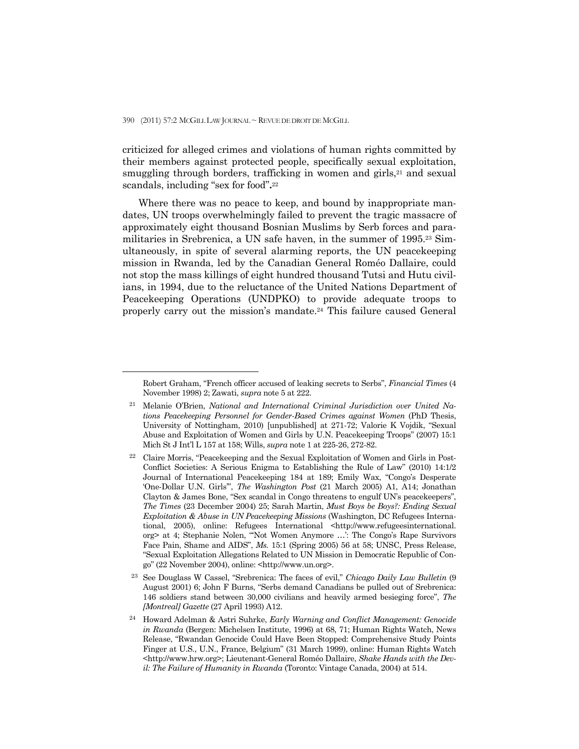$\overline{a}$ 

criticized for alleged crimes and violations of human rights committed by their members against protected people, specifically sexual exploitation, smuggling through borders, trafficking in women and girls,<sup>21</sup> and sexual scandals, including "sex for food"**.**<sup>22</sup>

 Where there was no peace to keep, and bound by inappropriate mandates, UN troops overwhelmingly failed to prevent the tragic massacre of approximately eight thousand Bosnian Muslims by Serb forces and paramilitaries in Srebrenica, a UN safe haven, in the summer of 1995.23 Simultaneously, in spite of several alarming reports, the UN peacekeeping mission in Rwanda, led by the Canadian General Roméo Dallaire, could not stop the mass killings of eight hundred thousand Tutsi and Hutu civilians, in 1994, due to the reluctance of the United Nations Department of Peacekeeping Operations (UNDPKO) to provide adequate troops to properly carry out the mission's mandate.24 This failure caused General

Robert Graham, "French officer accused of leaking secrets to Serbs", *Financial Times* (4 November 1998) 2; Zawati, *supra* note 5 at 222.

<sup>21</sup> Melanie O'Brien, *National and International Criminal Jurisdiction over United Nations Peacekeeping Personnel for Gender-Based Crimes against Women* (PhD Thesis, University of Nottingham, 2010) [unpublished] at 271-72; Valorie K Vojdik, "Sexual Abuse and Exploitation of Women and Girls by U.N. Peacekeeping Troops" (2007) 15:1 Mich St J Int'l L 157 at 158; Wills, *supra* note 1 at 225-26, 272-82.

<sup>22</sup> Claire Morris, "Peacekeeping and the Sexual Exploitation of Women and Girls in Post-Conflict Societies: A Serious Enigma to Establishing the Rule of Law" (2010) 14:1/2 Journal of International Peacekeeping 184 at 189; Emily Wax, "Congo's Desperate 'One-Dollar U.N. Girls'", *The Washington Post* (21 March 2005) A1, A14; Jonathan Clayton & James Bone, "Sex scandal in Congo threatens to engulf UN's peacekeepers", *The Times* (23 December 2004) 25; Sarah Martin, *Must Boys be Boys?: Ending Sexual Exploitation & Abuse in UN Peacekeeping Missions* (Washington, DC Refugees International, 2005), online: Refugees International <http://www.refugeesinternational. org> at 4; Stephanie Nolen, "'Not Women Anymore …': The Congo's Rape Survivors Face Pain, Shame and AIDS", *Ms.* 15:1 (Spring 2005) 56 at 58; UNSC, Press Release, "Sexual Exploitation Allegations Related to UN Mission in Democratic Republic of Congo" (22 November 2004), online: <http://www.un.org>.

<sup>23</sup> See Douglass W Cassel, "Srebrenica: The faces of evil," *Chicago Daily Law Bulletin* (9 August 2001) 6; John F Burns, "Serbs demand Canadians be pulled out of Srebrenica: 146 soldiers stand between 30,000 civilians and heavily armed besieging force", *The [Montreal] Gazette* (27 April 1993) A12.

<sup>24</sup> Howard Adelman & Astri Suhrke, *Early Warning and Conflict Management: Genocide in Rwanda* (Bergen: Michelsen Institute, 1996) at 68, 71; Human Rights Watch, News Release, "Rwandan Genocide Could Have Been Stopped: Comprehensive Study Points Finger at U.S., U.N., France, Belgium" (31 March 1999), online: Human Rights Watch <http://www.hrw.org>; Lieutenant-General Roméo Dallaire, *Shake Hands with the Devil: The Failure of Humanity in Rwanda* (Toronto: Vintage Canada, 2004) at 514.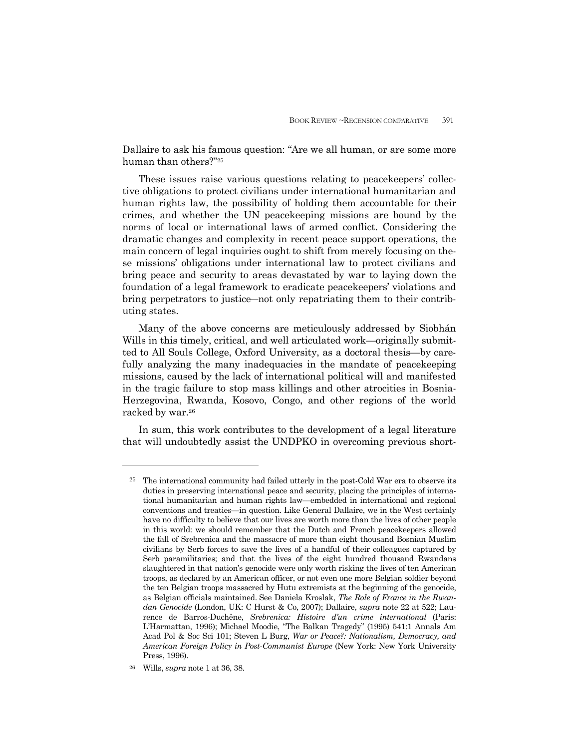Dallaire to ask his famous question: "Are we all human, or are some more human than others?"25

 These issues raise various questions relating to peacekeepers' collective obligations to protect civilians under international humanitarian and human rights law, the possibility of holding them accountable for their crimes, and whether the UN peacekeeping missions are bound by the norms of local or international laws of armed conflict. Considering the dramatic changes and complexity in recent peace support operations, the main concern of legal inquiries ought to shift from merely focusing on these missions' obligations under international law to protect civilians and bring peace and security to areas devastated by war to laying down the foundation of a legal framework to eradicate peacekeepers' violations and bring perpetrators to justice―not only repatriating them to their contributing states.

 Many of the above concerns are meticulously addressed by Siobhán Wills in this timely, critical, and well articulated work—originally submitted to All Souls College, Oxford University, as a doctoral thesis—by carefully analyzing the many inadequacies in the mandate of peacekeeping missions, caused by the lack of international political will and manifested in the tragic failure to stop mass killings and other atrocities in Bosnia-Herzegovina, Rwanda, Kosovo, Congo, and other regions of the world racked by war.26

 In sum, this work contributes to the development of a legal literature that will undoubtedly assist the UNDPKO in overcoming previous short-

<sup>25</sup> The international community had failed utterly in the post-Cold War era to observe its duties in preserving international peace and security, placing the principles of international humanitarian and human rights law—embedded in international and regional conventions and treaties—in question. Like General Dallaire, we in the West certainly have no difficulty to believe that our lives are worth more than the lives of other people in this world: we should remember that the Dutch and French peacekeepers allowed the fall of Srebrenica and the massacre of more than eight thousand Bosnian Muslim civilians by Serb forces to save the lives of a handful of their colleagues captured by Serb paramilitaries; and that the lives of the eight hundred thousand Rwandans slaughtered in that nation's genocide were only worth risking the lives of ten American troops, as declared by an American officer, or not even one more Belgian soldier beyond the ten Belgian troops massacred by Hutu extremists at the beginning of the genocide, as Belgian officials maintained. See Daniela Kroslak, *The Role of France in the Rwandan Genocide* (London, UK: C Hurst & Co, 2007); Dallaire, *supra* note 22 at 522; Laurence de Barros-Duchêne, *Srebrenica: Histoire d'un crime international* (Paris: L'Harmattan, 1996); Michael Moodie, "The Balkan Tragedy" (1995) 541:1 Annals Am Acad Pol & Soc Sci 101; Steven L Burg, *War or Peace?: Nationalism, Democracy, and American Foreign Policy in Post-Communist Europe* (New York: New York University Press, 1996).

<sup>26</sup> Wills, *supra* note 1 at 36, 38.